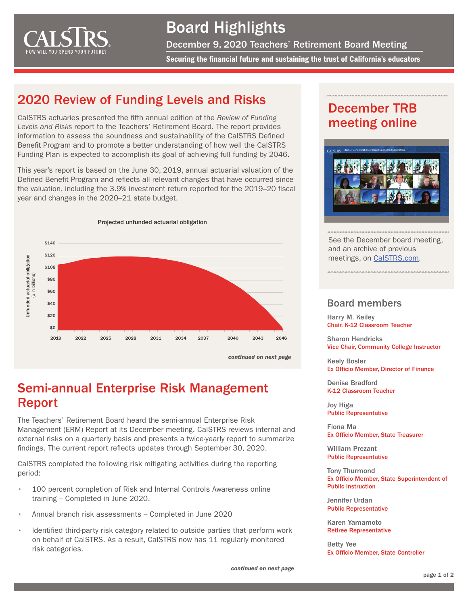<span id="page-0-0"></span>

# Board Highlights

December 9, 2020 Teachers' Retirement Board Meeting

Securing the financial future and sustaining the trust of California's educators

# 2020 Review of Funding Levels and Risks

CalSTRS actuaries presented the fifth annual edition of the *Review of Funding Levels and Risks* report to the Teachers' Retirement Board. The report provides information to assess the soundness and sustainability of the CalSTRS Defined Benefit Program and to promote a better understanding of how well the CalSTRS Funding Plan is expected to accomplish its goal of achieving full funding by 2046.

This year's report is based on the June 30, 2019, annual actuarial valuation of the Defined Benefit Program and reflects all relevant changes that have occurred since the valuation, including the 3.9% investment return reported for the 2019–20 fiscal year and changes in the 2020–21 state budget.



Semi-annual Enterprise Risk Management Report

The Teachers' Retirement Board heard the semi-annual Enterprise Risk Management (ERM) Report at its December meeting. CalSTRS reviews internal and external risks on a quarterly basis and presents a twice-yearly report to summarize findings. The current report reflects updates through September 30, 2020.

CalSTRS completed the following risk mitigating activities during the reporting period:

- 100 percent completion of Risk and Internal Controls Awareness online training – Completed in June 2020.
- Annual branch risk assessments Completed in June 2020
- Identified third-party risk category related to outside parties that perform work on behalf of CalSTRS. As a result, CalSTRS now has 11 regularly monitored risk categories.

*[continued on next page](#page-1-0)*

# December TRB meeting online



See the December board meeting, and an archive of previous meetings, on [CalSTRS.com](https://www.calstrs.com/board-meeting-video-archive).

#### Board members

Harry M. Keiley Chair, K-12 Classroom Teacher

Sharon Hendricks Vice Chair, Community College Instructor

Keely Bosler Ex Officio Member, Director of Finance

Denise Bradford K-12 Classroom Teacher

Joy Higa Public Representative

Fiona Ma Ex Officio Member, State Treasurer

William Prezant Public Representative

Tony Thurmond Ex Officio Member, State Superintendent of Public Instruction

Jennifer Urdan Public Representative

Karen Yamamoto Retiree Representative

Betty Yee Ex Officio Member, State Controller